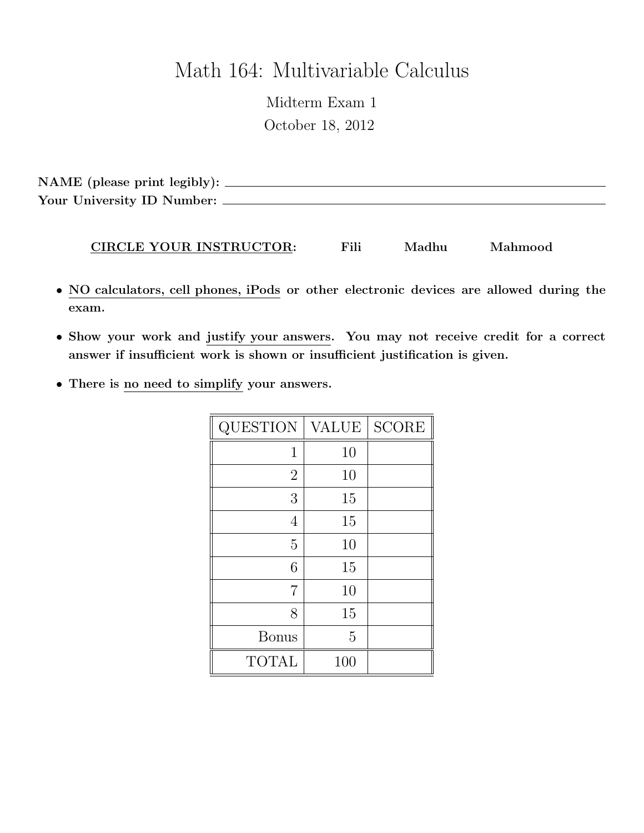# Math 164: Multivariable Calculus

Midterm Exam 1 October 18, 2012

NAME (please print legibly): Your University ID Number:

#### CIRCLE YOUR INSTRUCTOR: Fili Madhu Mahmood

- NO calculators, cell phones, iPods or other electronic devices are allowed during the exam.
- Show your work and justify your answers. You may not receive credit for a correct answer if insufficient work is shown or insufficient justification is given.
- There is no need to simplify your answers.

| <b>QUESTION</b> | <b>VALUE</b> | <b>SCORE</b> |
|-----------------|--------------|--------------|
| 1               | 10           |              |
| $\overline{2}$  | 10           |              |
| 3               | 15           |              |
| 4               | 15           |              |
| $\overline{5}$  | 10           |              |
| 6               | 15           |              |
| 7               | 10           |              |
| 8               | 15           |              |
| <b>Bonus</b>    | 5            |              |
| <b>TOTAL</b>    | 100          |              |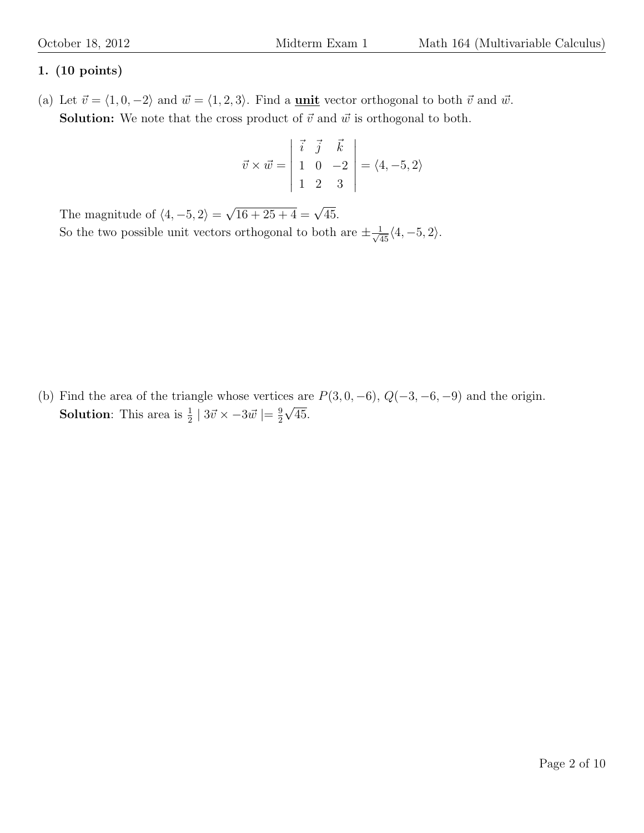## 1. (10 points)

(a) Let  $\vec{v} = \langle 1, 0, -2 \rangle$  and  $\vec{w} = \langle 1, 2, 3 \rangle$ . Find a **unit** vector orthogonal to both  $\vec{v}$  and  $\vec{w}$ . **Solution:** We note that the cross product of  $\vec{v}$  and  $\vec{w}$  is orthogonal to both.

$$
\vec{v} \times \vec{w} = \begin{vmatrix} \vec{i} & \vec{j} & \vec{k} \\ 1 & 0 & -2 \\ 1 & 2 & 3 \end{vmatrix} = \langle 4, -5, 2 \rangle
$$

The magnitude of  $\langle 4, -5, 2 \rangle =$  $\sqrt{16 + 25 + 4} = \sqrt{45}.$ So the two possible unit vectors orthogonal to both are  $\pm \frac{1}{\sqrt{45}} \langle 4, -5, 2 \rangle$ .

(b) Find the area of the triangle whose vertices are  $P(3, 0, -6)$ ,  $Q(-3, -6, -9)$  and the origin. **Solution**: This area is  $\frac{1}{2}$  |  $3\vec{v} \times -3\vec{w}$  |=  $\frac{9}{2}$  $\frac{9}{2}\sqrt{45}$ .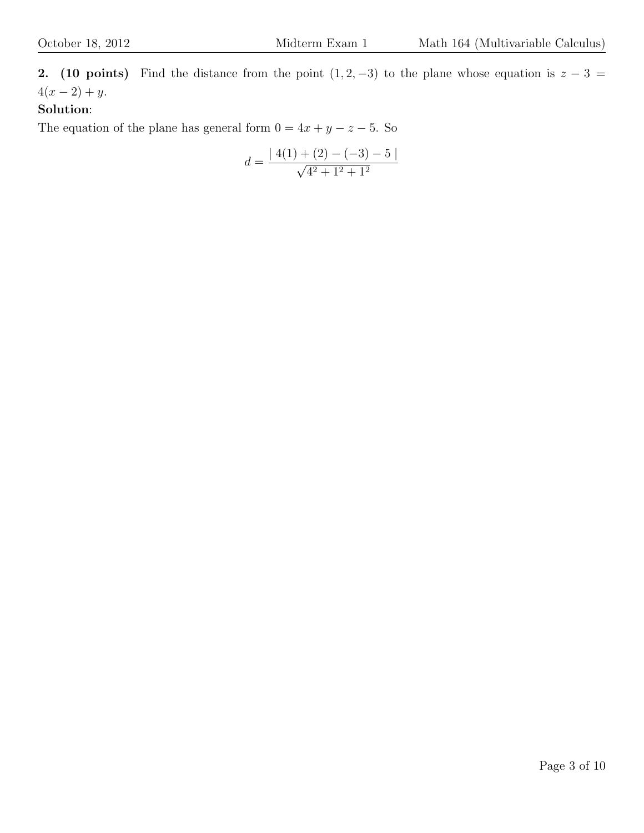2. (10 points) Find the distance from the point  $(1, 2, -3)$  to the plane whose equation is  $z - 3 =$  $4(x - 2) + y$ .

## Solution:

The equation of the plane has general form  $0 = 4x + y - z - 5$ . So

$$
d = \frac{|4(1) + (2) - (-3) - 5|}{\sqrt{4^2 + 1^2 + 1^2}}
$$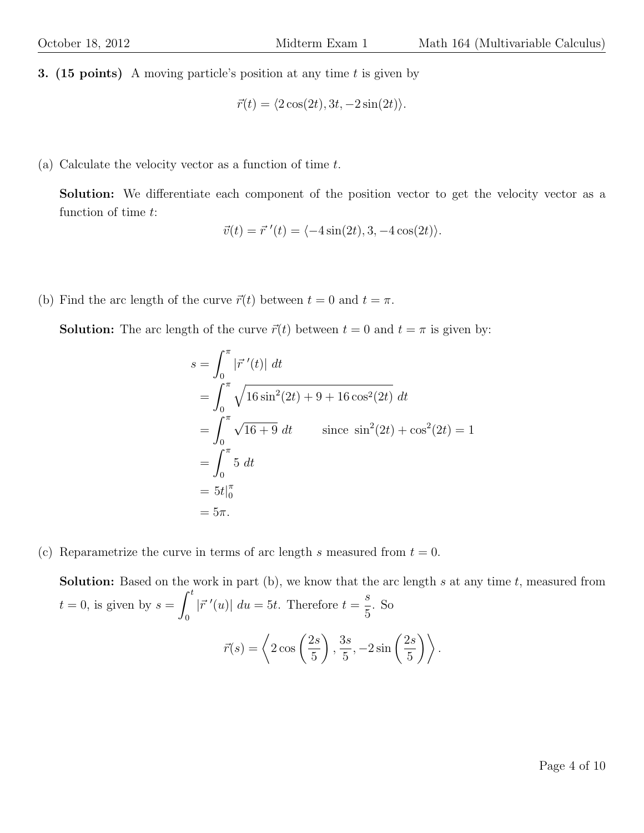**3.** (15 points) A moving particle's position at any time t is given by

$$
\vec{r}(t) = \langle 2\cos(2t), 3t, -2\sin(2t) \rangle.
$$

(a) Calculate the velocity vector as a function of time t.

Solution: We differentiate each component of the position vector to get the velocity vector as a function of time t:

$$
\vec{v}(t) = \vec{r}'(t) = \langle -4\sin(2t), 3, -4\cos(2t) \rangle.
$$

(b) Find the arc length of the curve  $\vec{r}(t)$  between  $t = 0$  and  $t = \pi$ .

**Solution:** The arc length of the curve  $\vec{r}(t)$  between  $t = 0$  and  $t = \pi$  is given by:

$$
s = \int_0^{\pi} |\vec{r}'(t)| dt
$$
  
=  $\int_0^{\pi} \sqrt{16 \sin^2(2t) + 9 + 16 \cos^2(2t)} dt$   
=  $\int_0^{\pi} \sqrt{16 + 9} dt$  since  $\sin^2(2t) + \cos^2(2t) = 1$   
=  $\int_0^{\pi} 5 dt$   
=  $5t\Big|_0^{\pi}$   
=  $5\pi$ .

(c) Reparametrize the curve in terms of arc length s measured from  $t = 0$ .

**Solution:** Based on the work in part  $(b)$ , we know that the arc length s at any time t, measured from  $t = 0$ , is given by  $s = \int_0^t$ 0  $|\vec{r}^{\prime}(u)|$   $du = 5t$ . Therefore  $t = \frac{s}{\epsilon}$ 5 . So  $\vec{r}(s) = \left\langle 2\cos\left(\frac{2s}{r}\right) \right\rangle$ 5  $\setminus$ ,  $3s$ 5  $,-2\sin\left(\frac{2s}{5}\right)$ 5  $\big)\big\}$ .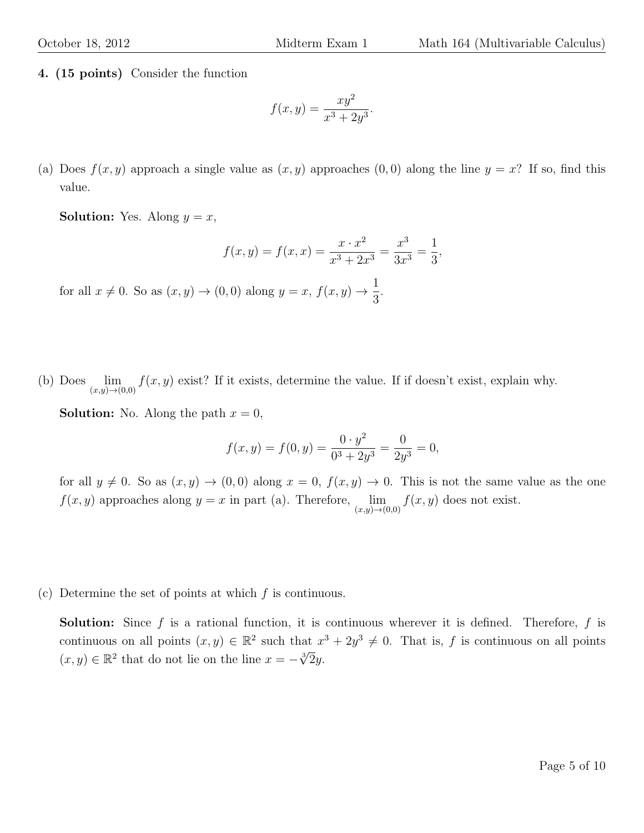4. (15 points) Consider the function

$$
f(x,y) = \frac{xy^2}{x^3 + 2y^3}.
$$

(a) Does  $f(x, y)$  approach a single value as  $(x, y)$  approaches  $(0, 0)$  along the line  $y = x$ ? If so, find this value.

**Solution:** Yes. Along  $y = x$ ,

$$
f(x,y) = f(x,x) = \frac{x \cdot x^2}{x^3 + 2x^3} = \frac{x^3}{3x^3} = \frac{1}{3},
$$

for all  $x \neq 0$ . So as  $(x, y) \rightarrow (0, 0)$  along  $y = x$ ,  $f(x, y) \rightarrow \frac{1}{2}$ 3 .

(b) Does  $\lim_{(x,y)\to(0,0)} f(x,y)$  exist? If it exists, determine the value. If if doesn't exist, explain why.

**Solution:** No. Along the path  $x = 0$ ,

$$
f(x,y) = f(0,y) = \frac{0 \cdot y^2}{0^3 + 2y^3} = \frac{0}{2y^3} = 0,
$$

for all  $y \neq 0$ . So as  $(x, y) \rightarrow (0, 0)$  along  $x = 0$ ,  $f(x, y) \rightarrow 0$ . This is not the same value as the one  $f(x, y)$  approaches along  $y = x$  in part (a). Therefore,  $\lim_{(x,y)\to(0,0)} f(x, y)$  does not exist.

(c) Determine the set of points at which  $f$  is continuous.

**Solution:** Since f is a rational function, it is continuous wherever it is defined. Therefore, f is continuous on all points  $(x, y) \in \mathbb{R}^2$  such that  $x^3 + 2y^3 \neq 0$ . That is, f is continuous on all points  $(x, y) \in \mathbb{R}^2$  that do not lie on the line  $x = -\sqrt[3]{2}y$ .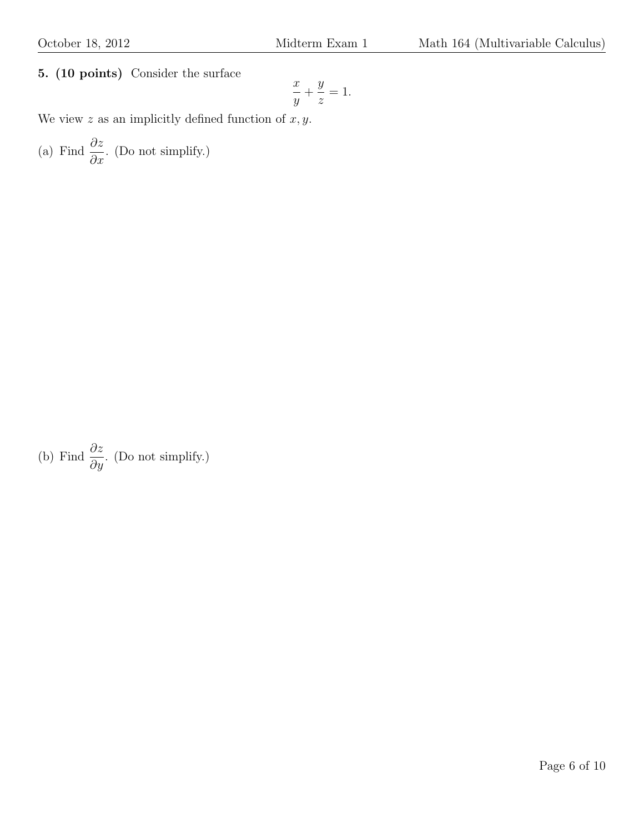5. (10 points) Consider the surface

$$
\frac{x}{y} + \frac{y}{z} = 1.
$$

We view  $z$  as an implicitly defined function of  $x, y$ .

(a) Find  $\frac{\partial z}{\partial x}$  $\frac{\partial z}{\partial x}$ . (Do not simplify.)

(b) Find 
$$
\frac{\partial z}{\partial y}
$$
. (Do not simplify.)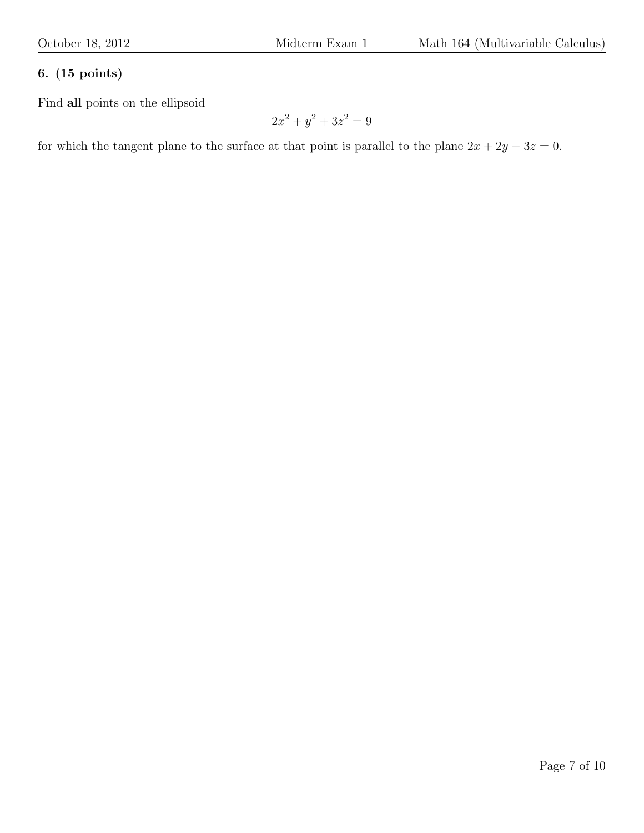#### 6. (15 points)

Find all points on the ellipsoid

$$
2x^2 + y^2 + 3z^2 = 9
$$

for which the tangent plane to the surface at that point is parallel to the plane  $2x + 2y - 3z = 0$ .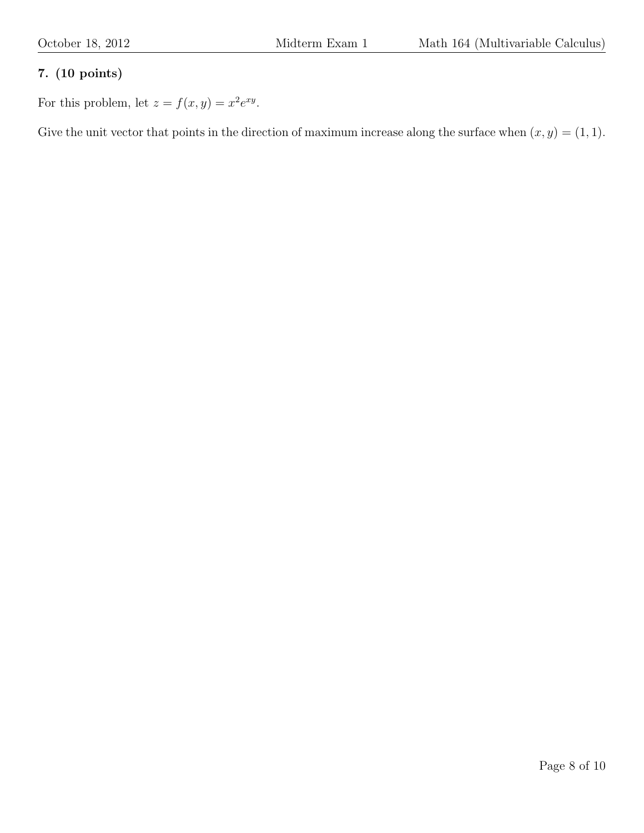## 7. (10 points)

For this problem, let  $z = f(x, y) = x^2 e^{xy}$ .

Give the unit vector that points in the direction of maximum increase along the surface when  $(x, y) = (1, 1)$ .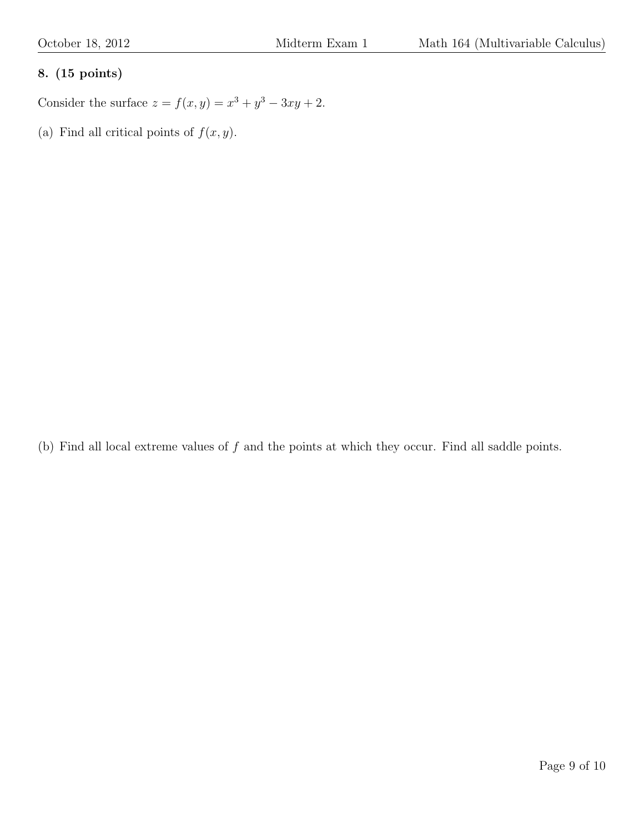## 8. (15 points)

Consider the surface  $z = f(x, y) = x^3 + y^3 - 3xy + 2$ .

(a) Find all critical points of  $f(x, y)$ .

(b) Find all local extreme values of  $f$  and the points at which they occur. Find all saddle points.